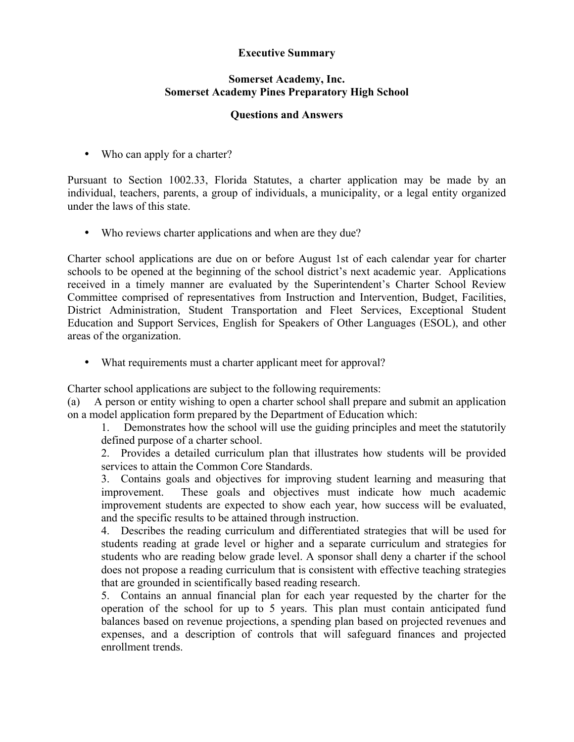## **Executive Summary**

## **Somerset Academy, Inc. Somerset Academy Pines Preparatory High School**

## **Questions and Answers**

• Who can apply for a charter?

Pursuant to Section 1002.33, Florida Statutes, a charter application may be made by an individual, teachers, parents, a group of individuals, a municipality, or a legal entity organized under the laws of this state.

• Who reviews charter applications and when are they due?

Charter school applications are due on or before August 1st of each calendar year for charter schools to be opened at the beginning of the school district's next academic year. Applications received in a timely manner are evaluated by the Superintendent's Charter School Review Committee comprised of representatives from Instruction and Intervention, Budget, Facilities, District Administration, Student Transportation and Fleet Services, Exceptional Student Education and Support Services, English for Speakers of Other Languages (ESOL), and other areas of the organization.

• What requirements must a charter applicant meet for approval?

Charter school applications are subject to the following requirements:

(a) A person or entity wishing to open a charter school shall prepare and submit an application on a model application form prepared by the Department of Education which:

1. Demonstrates how the school will use the guiding principles and meet the statutorily defined purpose of a charter school.

2. Provides a detailed curriculum plan that illustrates how students will be provided services to attain the Common Core Standards.

3. Contains goals and objectives for improving student learning and measuring that improvement. These goals and objectives must indicate how much academic improvement students are expected to show each year, how success will be evaluated, and the specific results to be attained through instruction.

4. Describes the reading curriculum and differentiated strategies that will be used for students reading at grade level or higher and a separate curriculum and strategies for students who are reading below grade level. A sponsor shall deny a charter if the school does not propose a reading curriculum that is consistent with effective teaching strategies that are grounded in scientifically based reading research.

5. Contains an annual financial plan for each year requested by the charter for the operation of the school for up to 5 years. This plan must contain anticipated fund balances based on revenue projections, a spending plan based on projected revenues and expenses, and a description of controls that will safeguard finances and projected enrollment trends.